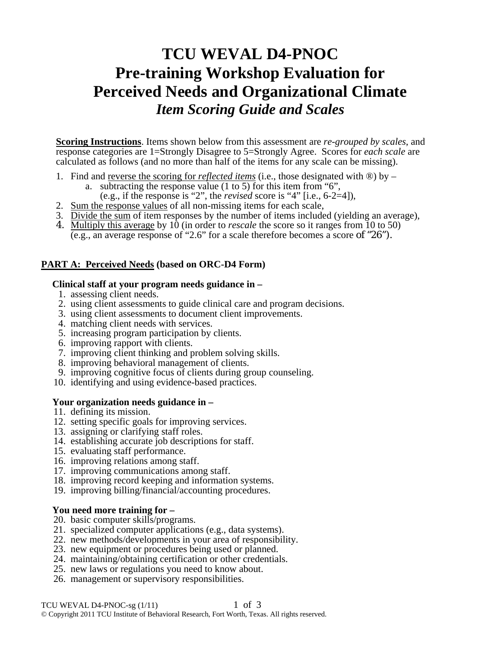# **TCU WEVAL D4-PNOC Pre-training Workshop Evaluation for Perceived Needs and Organizational Climate**  *Item Scoring Guide and Scales*

**Scoring Instructions**. Items shown below from this assessment are *re-grouped by scales*, and response categories are 1=Strongly Disagree to 5=Strongly Agree. Scores for *each scale* are calculated as follows (and no more than half of the items for any scale can be missing).

- 1. Find and reverse the scoring for *reflected items* (i.e., those designated with ®) by
	- a. subtracting the response value (1 to 5) for this item from "6",
		- (e.g., if the response is "2", the *revised* score is "4" [i.e.,  $6-2=4$ ]),
- 2. Sum the response values of all non-missing items for each scale,
- 3. Divide the sum of item responses by the number of items included (yielding an average),
- 4. Multiply this average by 10 (in order to *rescale* the score so it ranges from 10 to 50) (e.g., an average response of "2.6" for a scale therefore becomes a score of "26").

# **PART A: Perceived Needs (based on ORC-D4 Form)**

#### **Clinical staff at your program needs guidance in –**

- 1. assessing client needs.
- 2. using client assessments to guide clinical care and program decisions.
- 3. using client assessments to document client improvements.
- 4. matching client needs with services.
- 5. increasing program participation by clients.
- 6. improving rapport with clients.
- 7. improving client thinking and problem solving skills.
- 8. improving behavioral management of clients.
- 9. improving cognitive focus of clients during group counseling.
- 10. identifying and using evidence-based practices.

### **Your organization needs guidance in –**

- 11. defining its mission.
- 12. setting specific goals for improving services.
- 13. assigning or clarifying staff roles.
- 14. establishing accurate job descriptions for staff.
- 15. evaluating staff performance.
- 16. improving relations among staff.
- 17. improving communications among staff.
- 18. improving record keeping and information systems.
- 19. improving billing/financial/accounting procedures.

### **You need more training for –**

- 20. basic computer skills/programs.
- 21. specialized computer applications (e.g., data systems).
- 22. new methods/developments in your area of responsibility.
- 23. new equipment or procedures being used or planned.
- 24. maintaining/obtaining certification or other credentials.
- 25. new laws or regulations you need to know about.
- 26. management or supervisory responsibilities.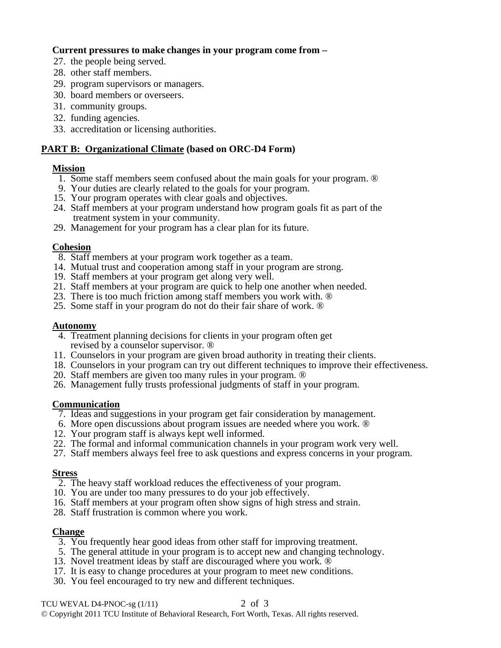# **Current pressures to make changes in your program come from –**

- 27. the people being served.
- 28. other staff members.
- 29. program supervisors or managers.
- 30. board members or overseers.
- 31. community groups.
- 32. funding agencies.
- 33. accreditation or licensing authorities.

# **PART B: Organizational Climate (based on ORC-D4 Form)**

### **Mission**

- 1. Some staff members seem confused about the main goals for your program. ®
- 9. Your duties are clearly related to the goals for your program.
- 15. Your program operates with clear goals and objectives.
- 24. Staff members at your program understand how program goals fit as part of the treatment system in your community.
- 29. Management for your program has a clear plan for its future.

## **Cohesion**

- 8. Staff members at your program work together as a team.
- 14. Mutual trust and cooperation among staff in your program are strong.
- 19. Staff members at your program get along very well.
- 21. Staff members at your program are quick to help one another when needed.
- 23. There is too much friction among staff members you work with. ®
- 25. Some staff in your program do not do their fair share of work. ®

### **Autonomy**

- 4. Treatment planning decisions for clients in your program often get revised by a counselor supervisor. ®
- 11. Counselors in your program are given broad authority in treating their clients.
- 18. Counselors in your program can try out different techniques to improve their effectiveness.
- 20. Staff members are given too many rules in your program. ®
- 26. Management fully trusts professional judgments of staff in your program.

### **Communication**

- 7. Ideas and suggestions in your program get fair consideration by management.
- 6. More open discussions about program issues are needed where you work. ®
- 12. Your program staff is always kept well informed.
- 22. The formal and informal communication channels in your program work very well.
- 27. Staff members always feel free to ask questions and express concerns in your program.

### **Stress**

- 2. The heavy staff workload reduces the effectiveness of your program.
- 10. You are under too many pressures to do your job effectively.
- 16. Staff members at your program often show signs of high stress and strain.
- 28. Staff frustration is common where you work.

### **Change**

- 3. You frequently hear good ideas from other staff for improving treatment.
- 5. The general attitude in your program is to accept new and changing technology.
- 13. Novel treatment ideas by staff are discouraged where you work. ®
- 17. It is easy to change procedures at your program to meet new conditions.
- 30. You feel encouraged to try new and different techniques.